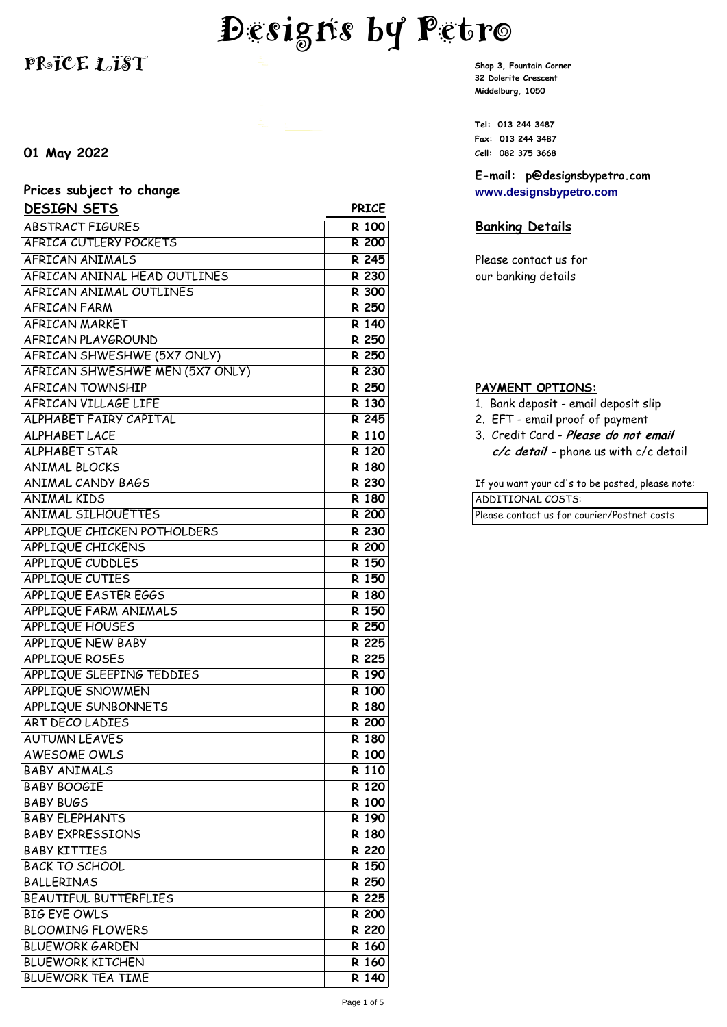# **Designs by Petro**

# **PR**o $ICE 1.18T$  **Signature Shop 3, Fountain Corner**

## **01 May 2022 Cell: 082 375 3668**

| Prices subject to change |              |
|--------------------------|--------------|
| <b>DESIGN SETS</b>       | <b>PRICE</b> |
| ABSTRACT FIGURES         | R 100        |

| <b>ABSTRACT FIGURES</b>         | R 100              |
|---------------------------------|--------------------|
| <b>AFRICA CUTLERY POCKETS</b>   | <b>R 200</b>       |
| AFRICAN ANIMALS                 | R 245              |
| AFRICAN ANINAL HEAD OUTLINES    | R 230              |
| AFRICAN ANIMAL OUTLINES         | R 300              |
| <b>AFRICAN FARM</b>             | R 250              |
| AFRICAN MARKET                  | R 140              |
| AFRICAN PLAYGROUND              | R 250              |
| AFRICAN SHWESHWE (5X7 ONLY)     | R 250              |
| AFRICAN SHWESHWE MEN (5X7 ONLY) | R 230              |
| <b>AFRICAN TOWNSHIP</b>         | R 250              |
| AFRICAN VILLAGE LIFE            | R 130              |
| ALPHABET FAIRY CAPITAL          | R 245              |
| <b>ALPHABET LACE</b>            | R 110              |
| <b>ALPHABET STAR</b>            | R 120              |
| <b>ANIMAL BLOCKS</b>            | R 180              |
| <b>ANIMAL CANDY BAGS</b>        | R 230              |
| <b>ANIMAL KIDS</b>              | R 180              |
| <b>ANIMAL SILHOUETTES</b>       | R 200              |
| APPLIQUE CHICKEN POTHOLDERS     | R 230              |
| <b>APPLIQUE CHICKENS</b>        | <b>R</b> 200       |
| APPLIQUE CUDDLES                | R 150              |
| APPLIQUE CUTIES                 | R 150              |
| APPLIQUE EASTER EGGS            | R 180              |
| APPLIQUE FARM ANIMALS           | R 150              |
| APPLIQUE HOUSES                 | R 250              |
| APPLIQUE NEW BABY               | R 225              |
| APPLIQUE ROSES                  | R 225              |
| APPLIQUE SLEEPING TEDDIES       | R 190              |
| APPLIQUE SNOWMEN                | R 100              |
| <b>APPLIQUE SUNBONNETS</b>      | R 180              |
| <b>ART DECO LADIES</b>          | $\overline{R}$ 200 |
| <b>AUTUMN LEAVES</b>            | R 180              |
| <b>AWESOME OWLS</b>             | R 100              |
| <b>BABY ANIMALS</b>             | R 110              |
| <b>BABY BOOGIE</b>              | R 120              |
| <b>BABY BUGS</b>                | R 100              |
| <b>BABY ELEPHANTS</b>           | R 190              |
| <b>BABY EXPRESSIONS</b>         | R 180              |
| <b>BABY KITTIES</b>             | R 220              |
| <b>BACK TO SCHOOL</b>           | R 150              |
| <b>BALLERINAS</b>               | R 250              |
| BEAUTIFUL BUTTERFLIES           | R 225              |
| <b>BIG EYE OWLS</b>             | R 200              |
| <b>BLOOMING FLOWERS</b>         | R 220              |
| <b>BLUEWORK GARDEN</b>          | R 160              |
| <b>BLUEWORK KITCHEN</b>         | R 160              |
| <b>BLUEWORK TEA TIME</b>        | R 140              |

**32 Dolerite Crescent Middelburg, 1050**

**Tel: 013 244 3487 Fax: 013 244 3487**

**E-mail: p@designsbypetro.com Prices subject to change [www.designsbypetro.com](http://www.designsbypetro.com/)**

### **Banking Details**

Please contact us for our banking details

#### **PAYMENT OPTIONS:**

- 1. Bank deposit email deposit slip
- 2. EFT email proof of payment
- 3. Credit Card Please do not email c/c detail - phone us with c/c detail

If you want your cd's to be posted, please note: **ADDITIONAL COSTS:** 

Please contact us for courier/Postnet costs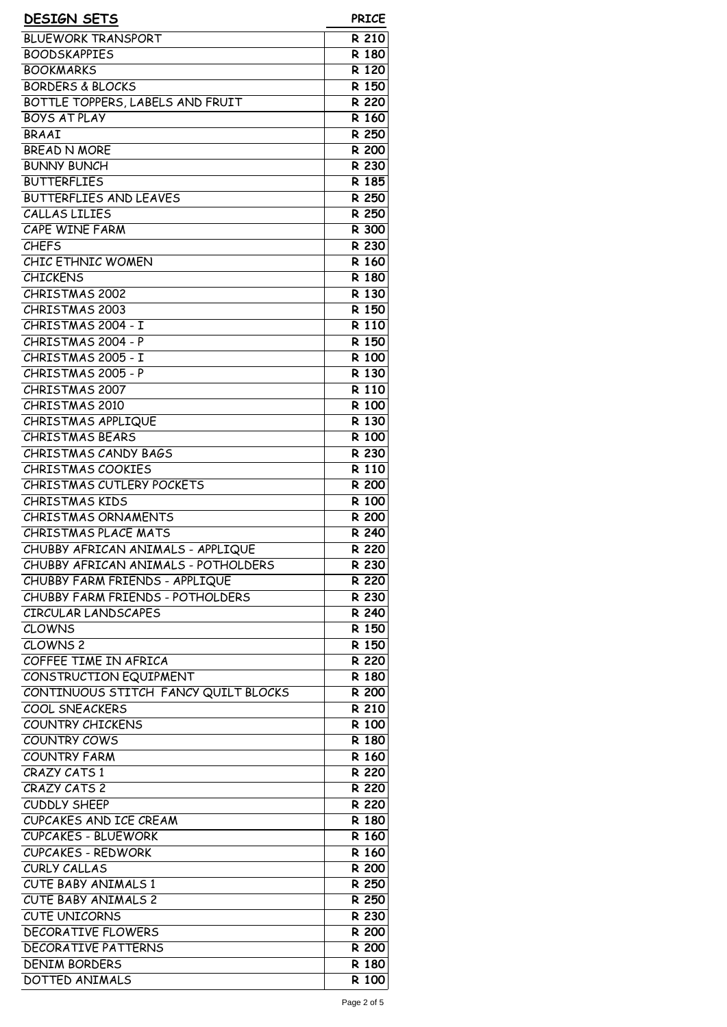| <b>DESIGN SETS</b>                                             | <b>PRICE</b>                |
|----------------------------------------------------------------|-----------------------------|
| <b>BLUEWORK TRANSPORT</b>                                      | R 210                       |
| <b>BOODSKAPPIES</b>                                            | R 180                       |
| <b>BOOKMARKS</b>                                               | R 120                       |
| <b>BORDERS &amp; BLOCKS</b>                                    | R 150                       |
| BOTTLE TOPPERS, LABELS AND FRUIT                               | R 220                       |
| <b>BOYS AT PLAY</b>                                            | R 160                       |
| <b>BRAAI</b>                                                   | R 250                       |
| <b>BREAD N MORE</b>                                            | R 200                       |
| <b>BUNNY BUNCH</b>                                             | R 230                       |
| <b>BUTTERFLIES</b>                                             | R 185                       |
| BUTTERFLIES AND LEAVES                                         | R 250                       |
| CALLAS LILIES                                                  | R 250                       |
| CAPE WINE FARM                                                 | R 300                       |
| <b>CHEFS</b>                                                   | R 230                       |
| CHIC ETHNIC WOMEN                                              | R 160                       |
| <b>CHICKENS</b>                                                | $\overline{R}$ 180          |
| <b>CHRISTMAS 2002</b>                                          | R 130                       |
| <b>CHRISTMAS 2003</b>                                          | R 150                       |
| CHRISTMAS 2004 - I                                             | R 110                       |
| CHRISTMAS 2004 - P                                             | R 150                       |
| CHRISTMAS 2005 - I                                             | R 100                       |
| CHRISTMAS 2005 - P                                             | R 130                       |
| CHRISTMAS 2007                                                 | R 110                       |
| CHRISTMAS 2010                                                 | R 100                       |
| CHRISTMAS APPLIQUE                                             | R 130                       |
| <b>CHRISTMAS BEARS</b>                                         | R 100                       |
| CHRISTMAS CANDY BAGS                                           | R 230                       |
| <b>CHRISTMAS COOKIES</b>                                       | R 110                       |
| <b>CHRISTMAS CUTLERY POCKETS</b>                               | R 200                       |
| <b>CHRISTMAS KIDS</b>                                          | R 100                       |
| <b>CHRISTMAS ORNAMENTS</b>                                     | R 200                       |
| CHRISTMAS PLACE MATS                                           | $\overline{R}$ 240          |
| CHUBBY AFRICAN ANIMALS - APPLIQUE                              | R 220                       |
| CHUBBY AFRICAN ANIMALS - POTHOLDERS                            | R 230                       |
| CHUBBY FARM FRIENDS - APPLIQUE                                 | R 220                       |
| CHUBBY FARM FRIENDS - POTHOLDERS                               | R 230                       |
| CIRCULAR LANDSCAPES                                            | R 240                       |
| <b>CLOWNS</b>                                                  | R 150                       |
| CLOWNS <sub>2</sub>                                            | R 150                       |
| COFFEE TIME IN AFRICA                                          | R 220                       |
| CONSTRUCTION EQUIPMENT<br>CONTINUOUS STITCH FANCY QUILT BLOCKS | R 180<br>$\overline{R}$ 200 |
| COOL SNEACKERS                                                 | R 210                       |
| <b>COUNTRY CHICKENS</b>                                        | R 100                       |
| COUNTRY COWS                                                   | R 180                       |
| <b>COUNTRY FARM</b>                                            | R 160                       |
| CRAZY CATS 1                                                   | R 220                       |
| CRAZY CATS 2                                                   | R 220                       |
| CUDDLY SHEEP                                                   | R 220                       |
| CUPCAKES AND ICE CREAM                                         | R 180                       |
| <b>CUPCAKES - BLUEWORK</b>                                     | R 160                       |
| <b>CUPCAKES - REDWORK</b>                                      | $\overline{R}$ 160          |
| CURLY CALLAS                                                   | R 200                       |
| <b>CUTE BABY ANIMALS 1</b>                                     | R 250                       |
| <b>CUTE BABY ANIMALS 2</b>                                     | R 250                       |
| <b>CUTE UNICORNS</b>                                           | R 230                       |
| <b>DECORATIVE FLOWERS</b>                                      | R 200                       |
| <b>DECORATIVE PATTERNS</b>                                     | R 200                       |
| <b>DENIM BORDERS</b>                                           | R 180                       |
| DOTTED ANIMALS                                                 | R 100                       |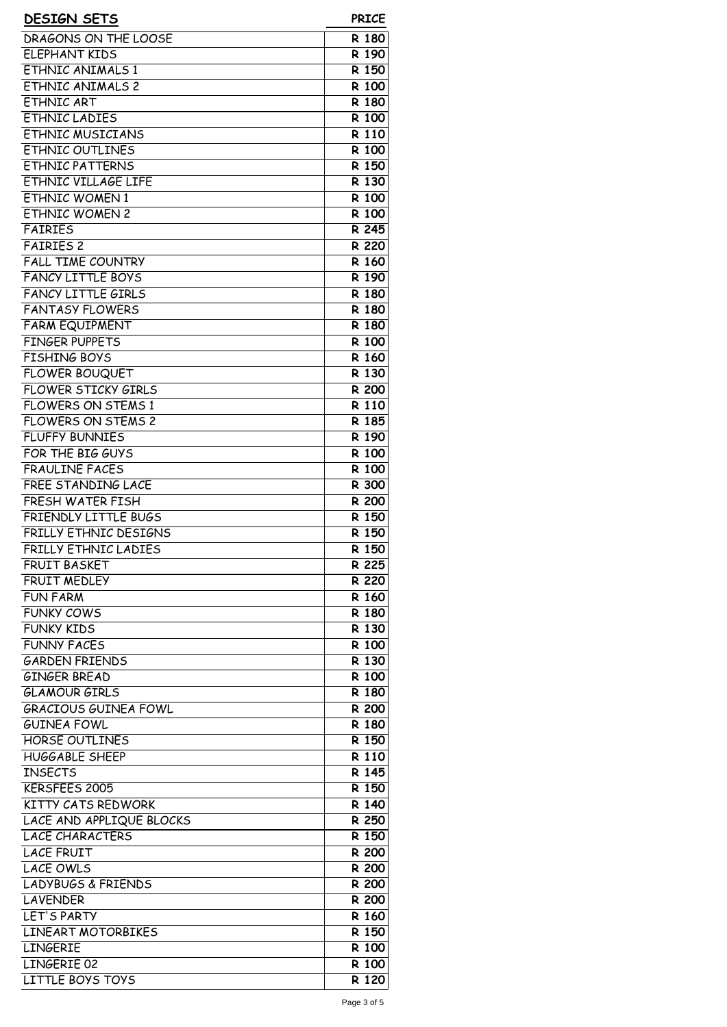| <b>DESIGN SETS</b>            | <b>PRICE</b>       |
|-------------------------------|--------------------|
| <b>DRAGONS ON THE LOOSE</b>   | R 180              |
| <b>ELEPHANT KIDS</b>          | R 190              |
| <b>ETHNIC ANIMALS 1</b>       | R 150              |
| <b>ETHNIC ANIMALS 2</b>       | R 100              |
| ETHNIC ART                    | R 180              |
| <b>ETHNIC LADIES</b>          | R 100              |
|                               |                    |
| ETHNIC MUSICIANS              | R 110              |
| <b>ETHNIC OUTLINES</b>        | R 100              |
| <b>ETHNIC PATTERNS</b>        | R 150              |
| ETHNIC VILLAGE LIFE           | R 130              |
| <b>ETHNIC WOMEN 1</b>         | R 100              |
| <b>ETHNIC WOMEN 2</b>         | R 100              |
| <b>FAIRIES</b>                | R 245              |
| <b>FAIRIES 2</b>              | R 220              |
| <b>FALL TIME COUNTRY</b>      | $\overline{R}$ 160 |
| <b>FANCY LITTLE BOYS</b>      | R 190              |
| <b>FANCY LITTLE GIRLS</b>     | R 180              |
| <b>FANTASY FLOWERS</b>        | R 180              |
| <b>FARM EQUIPMENT</b>         | R 180              |
| <b>FINGER PUPPETS</b>         |                    |
|                               | R 100              |
| <b>FISHING BOYS</b>           | R 160              |
| <b>FLOWER BOUQUET</b>         | R 130              |
| <b>FLOWER STICKY GIRLS</b>    | R 200              |
| <b>FLOWERS ON STEMS 1</b>     | R 110              |
| <b>FLOWERS ON STEMS 2</b>     | R 185              |
| <b>FLUFFY BUNNIES</b>         | R 190              |
| FOR THE BIG GUYS              | R 100              |
| <b>FRAULINE FACES</b>         | R 100              |
| <b>FREE STANDING LACE</b>     | R 300              |
| <b>FRESH WATER FISH</b>       | R 200              |
| <b>FRIENDLY LITTLE BUGS</b>   | R 150              |
| FRILLY ETHNIC DESIGNS         | R 150              |
|                               |                    |
| FRILLY ETHNIC LADIES          | R 150              |
| <b>FRUIT BASKET</b>           | R 225              |
| <b>FRUIT MEDLEY</b>           | R 220              |
| <b>FUN FARM</b>               | R 160              |
| <b>FUNKY COWS</b>             | R 180              |
| <b>FUNKY KIDS</b>             | R 130              |
| <b>FUNNY FACES</b>            | R 100              |
| <b>GARDEN FRIENDS</b>         | R 130              |
| <b>GINGER BREAD</b>           | R 100              |
| <b>GLAMOUR GIRLS</b>          | R 180              |
| <b>GRACIOUS GUINEA FOWL</b>   | R 200              |
| <b>GUINEA FOWL</b>            | R 180              |
| HORSE OUTLINES                | R 150              |
| <b>HUGGABLE SHEEP</b>         | R 110              |
|                               |                    |
| <b>INSECTS</b>                | R 145              |
| KERSFEES 2005                 | R 150              |
| KITTY CATS REDWORK            | R 140              |
| LACE AND APPLIQUE BLOCKS      | R 250              |
| <b>LACE CHARACTERS</b>        | R 150              |
| <b>LACE FRUIT</b>             | R 200              |
| <b>LACE OWLS</b>              | R 200              |
| <b>LADYBUGS &amp; FRIENDS</b> | <b>R 200</b>       |
| <b>LAVENDER</b>               | R 200              |
| LET'S PARTY                   | R 160              |
| LINEART MOTORBIKES            | R 150              |
|                               |                    |
| <b>LINGERIE</b>               | R 100              |
| LINGERIE 02                   | R 100              |
| <b>LITTLE BOYS TOYS</b>       | R 120              |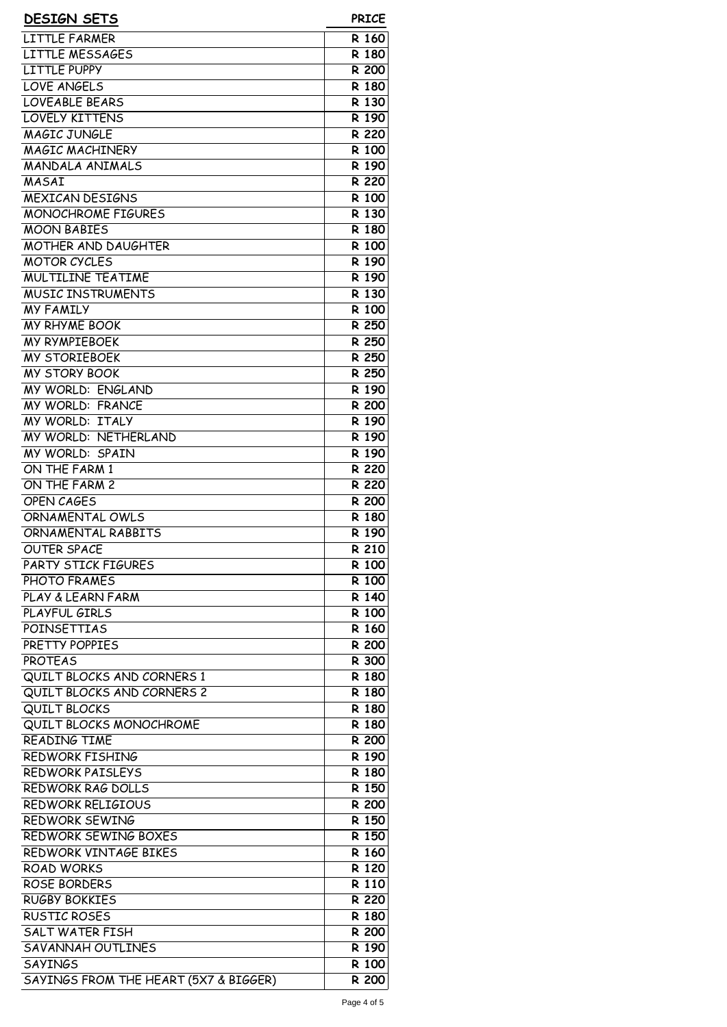| <b>DESIGN SETS</b>                    | <b>PRICE</b> |
|---------------------------------------|--------------|
| LITTLE FARMER                         | R 160        |
| LITTLE MESSAGES                       | R 180        |
| LITTLE PUPPY                          | R 200        |
| LOVE ANGELS                           | R 180        |
| <b>LOVEABLE BEARS</b>                 | R 130        |
| <b>LOVELY KITTENS</b>                 | R 190        |
| <b>MAGIC JUNGLE</b>                   | R 220        |
| <b>MAGIC MACHINERY</b>                | R 100        |
| <b>MANDALA ANIMALS</b>                | R 190        |
| MASAI                                 | R 220        |
| <b>MEXICAN DESIGNS</b>                | R 100        |
| <b>MONOCHROME FIGURES</b>             | R 130        |
| <b>MOON BABIES</b>                    | R 180        |
| <b>MOTHER AND DAUGHTER</b>            | R 100        |
| <b>MOTOR CYCLES</b>                   | R 190        |
| <b>MULTILINE TEATIME</b>              | R 190        |
| <b>MUSIC INSTRUMENTS</b>              | R 130        |
| <b>MY FAMILY</b>                      | R 100        |
| <b>MY RHYME BOOK</b>                  | R 250        |
| <b>MY RYMPIEBOEK</b>                  | R 250        |
| <b>MY STORIEBOEK</b>                  | R 250        |
| <b>MY STORY BOOK</b>                  | R 250        |
| MY WORLD: ENGLAND                     | R 190        |
| <b>MY WORLD: FRANCE</b>               | R 200        |
| MY WORLD: ITALY                       | R 190        |
| MY WORLD: NETHERLAND                  | R 190        |
| MY WORLD: SPAIN                       | R 190        |
| ON THE FARM 1                         | R 220        |
| ON THE FARM 2                         | R 220        |
| <b>OPEN CAGES</b>                     | R 200        |
| ORNAMENTAL OWLS                       | R 180        |
| ORNAMENTAL RABBITS                    | R 190        |
| <b>OUTER SPACE</b>                    | R 210        |
| PARTY STICK FIGURES                   | R 100        |
| PHOTO FRAMES                          | R 100        |
| PLAY & LEARN FARM                     | R 140        |
| PLAYFUL GIRLS                         | R 100        |
| <b>POINSETTIAS</b>                    | R 160        |
| PRETTY POPPIES                        | R 200        |
| <b>PROTEAS</b>                        | R 300        |
| QUILT BLOCKS AND CORNERS 1            | R 180        |
| QUILT BLOCKS AND CORNERS 2            | R 180        |
| <b>QUILT BLOCKS</b>                   | R 180        |
| QUILT BLOCKS MONOCHROME               | R 180        |
| <b>READING TIME</b>                   | R 200        |
| <b>REDWORK FISHING</b>                | R 190        |
| REDWORK PAISLEYS                      | R 180        |
| REDWORK RAG DOLLS                     | R 150        |
| REDWORK RELIGIOUS                     | R 200        |
| <b>REDWORK SEWING</b>                 | R 150        |
| REDWORK SEWING BOXES                  | R 150        |
| REDWORK VINTAGE BIKES                 | R 160        |
| <b>ROAD WORKS</b>                     | R 120        |
| ROSE BORDERS                          | R 110        |
| <b>RUGBY BOKKIES</b>                  | R 220        |
| <b>RUSTIC ROSES</b>                   | R 180        |
| <b>SALT WATER FISH</b>                | R 200        |
| SAVANNAH OUTLINES                     | R 190        |
| <b>SAYINGS</b>                        | R 100        |
| SAYINGS FROM THE HEART (5X7 & BIGGER) | R 200        |
|                                       |              |